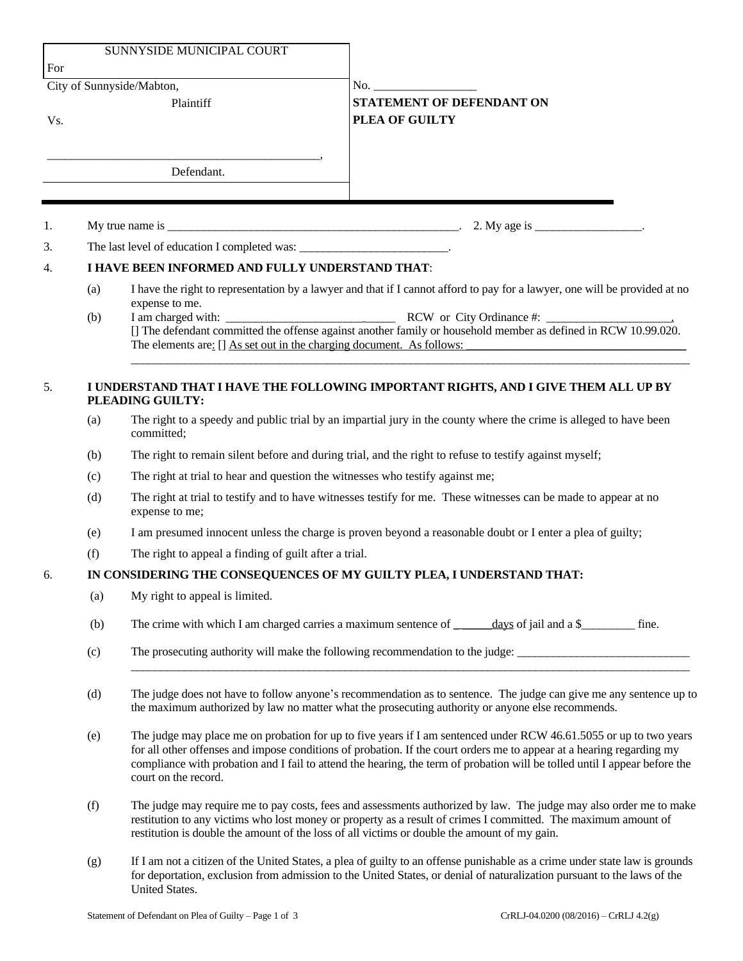| <b>SUNNYSIDE MUNICIPAL COURT</b><br>For<br>City of Sunnyside/Mabton, |                                                                                                                                   |                                                                                                                                                                                                                                                                                                                                                                                                   | No. $\qquad \qquad$                                                                                         |     |
|----------------------------------------------------------------------|-----------------------------------------------------------------------------------------------------------------------------------|---------------------------------------------------------------------------------------------------------------------------------------------------------------------------------------------------------------------------------------------------------------------------------------------------------------------------------------------------------------------------------------------------|-------------------------------------------------------------------------------------------------------------|-----|
|                                                                      |                                                                                                                                   |                                                                                                                                                                                                                                                                                                                                                                                                   |                                                                                                             | Vs. |
|                                                                      |                                                                                                                                   | <u> 1980 - Johann Barn, mars ar breithinn ar breithinn ar breithinn ar breithinn ar breithinn ar breithinn ar br</u><br>Defendant.                                                                                                                                                                                                                                                                |                                                                                                             |     |
| 1.                                                                   |                                                                                                                                   |                                                                                                                                                                                                                                                                                                                                                                                                   |                                                                                                             |     |
| 3.                                                                   | The last level of education I completed was: ___________________________________.                                                 |                                                                                                                                                                                                                                                                                                                                                                                                   |                                                                                                             |     |
| 4.                                                                   | I HAVE BEEN INFORMED AND FULLY UNDERSTAND THAT:                                                                                   |                                                                                                                                                                                                                                                                                                                                                                                                   |                                                                                                             |     |
|                                                                      | I have the right to representation by a lawyer and that if I cannot afford to pay for a lawyer, one will be provided at no<br>(a) |                                                                                                                                                                                                                                                                                                                                                                                                   |                                                                                                             |     |
|                                                                      | (b)                                                                                                                               | expense to me.<br>[] The defendant committed the offense against another family or household member as defined in RCW 10.99.020.<br>The elements are: $\iint$ As set out in the charging document. As follows:                                                                                                                                                                                    |                                                                                                             |     |
| 5.                                                                   | I UNDERSTAND THAT I HAVE THE FOLLOWING IMPORTANT RIGHTS, AND I GIVE THEM ALL UP BY<br>PLEADING GUILTY:                            |                                                                                                                                                                                                                                                                                                                                                                                                   |                                                                                                             |     |
|                                                                      | (a)                                                                                                                               | The right to a speedy and public trial by an impartial jury in the county where the crime is alleged to have been<br>committed;                                                                                                                                                                                                                                                                   |                                                                                                             |     |
|                                                                      | (b)                                                                                                                               | The right to remain silent before and during trial, and the right to refuse to testify against myself;                                                                                                                                                                                                                                                                                            |                                                                                                             |     |
|                                                                      | (c)                                                                                                                               | The right at trial to hear and question the witnesses who testify against me;                                                                                                                                                                                                                                                                                                                     |                                                                                                             |     |
|                                                                      | (d)                                                                                                                               | The right at trial to testify and to have witnesses testify for me. These witnesses can be made to appear at no<br>expense to me;                                                                                                                                                                                                                                                                 |                                                                                                             |     |
|                                                                      | (e)                                                                                                                               | I am presumed innocent unless the charge is proven beyond a reasonable doubt or I enter a plea of guilty;                                                                                                                                                                                                                                                                                         |                                                                                                             |     |
|                                                                      | (f)                                                                                                                               | The right to appeal a finding of guilt after a trial.                                                                                                                                                                                                                                                                                                                                             |                                                                                                             |     |
| 6.                                                                   | IN CONSIDERING THE CONSEQUENCES OF MY GUILTY PLEA, I UNDERSTAND THAT:                                                             |                                                                                                                                                                                                                                                                                                                                                                                                   |                                                                                                             |     |
|                                                                      | (a)                                                                                                                               | My right to appeal is limited.                                                                                                                                                                                                                                                                                                                                                                    |                                                                                                             |     |
|                                                                      | (b)                                                                                                                               |                                                                                                                                                                                                                                                                                                                                                                                                   | The crime with which I am charged carries a maximum sentence of ______ days of jail and a \$_________ fine. |     |
|                                                                      | (c)                                                                                                                               | The prosecuting authority will make the following recommendation to the judge:                                                                                                                                                                                                                                                                                                                    |                                                                                                             |     |
|                                                                      | (d)                                                                                                                               | The judge does not have to follow anyone's recommendation as to sentence. The judge can give me any sentence up to<br>the maximum authorized by law no matter what the prosecuting authority or anyone else recommends.                                                                                                                                                                           |                                                                                                             |     |
|                                                                      | (e)                                                                                                                               | The judge may place me on probation for up to five years if I am sentenced under RCW 46.61.5055 or up to two years<br>for all other offenses and impose conditions of probation. If the court orders me to appear at a hearing regarding my<br>compliance with probation and I fail to attend the hearing, the term of probation will be tolled until I appear before the<br>court on the record. |                                                                                                             |     |
|                                                                      | (f)                                                                                                                               | The judge may require me to pay costs, fees and assessments authorized by law. The judge may also order me to make<br>restitution to any victims who lost money or property as a result of crimes I committed. The maximum amount of<br>restitution is double the amount of the loss of all victims or double the amount of my gain.                                                              |                                                                                                             |     |
|                                                                      | (g)                                                                                                                               | If I am not a citizen of the United States, a plea of guilty to an offense punishable as a crime under state law is grounds                                                                                                                                                                                                                                                                       |                                                                                                             |     |

for deportation, exclusion from admission to the United States, or denial of naturalization pursuant to the laws of the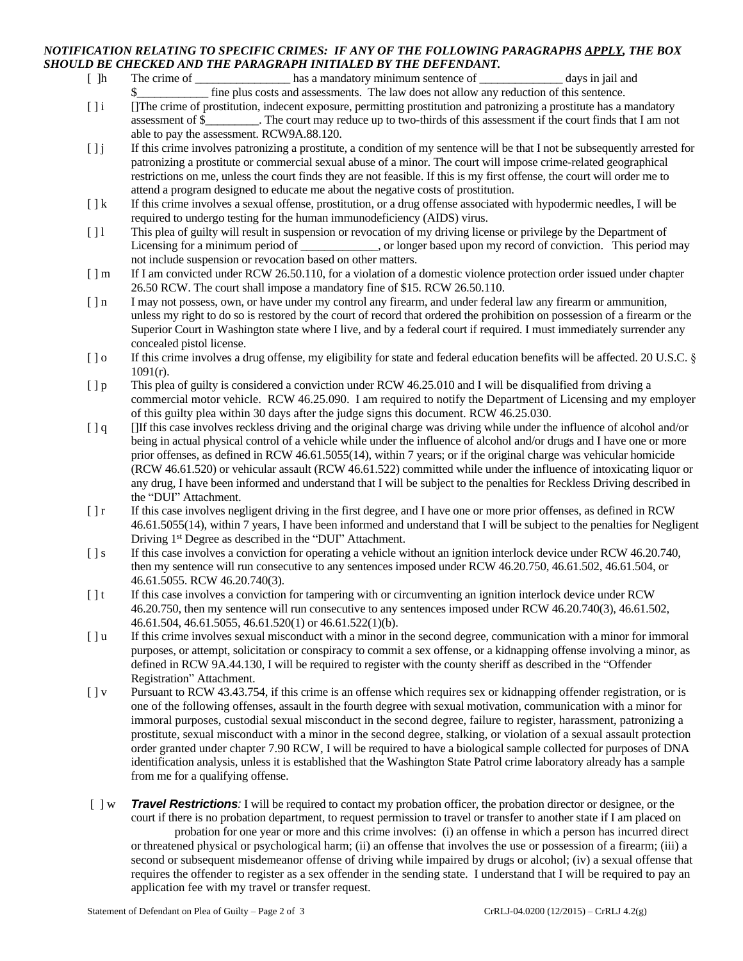## *NOTIFICATION RELATING TO SPECIFIC CRIMES: IF ANY OF THE FOLLOWING PARAGRAPHS APPLY, THE BOX SHOULD BE CHECKED AND THE PARAGRAPH INITIALED BY THE DEFENDANT.*

- [ ]h The crime of \_\_\_\_\_\_\_\_\_\_\_\_\_\_\_\_\_\_\_\_\_ has a mandatory minimum sentence of \_\_\_\_\_\_\_\_\_\_\_\_\_\_\_\_ days in jail and fine plus costs and assessments. The law does not allow any reduction of this sentence.
- [] i []The crime of prostitution, indecent exposure, permitting prostitution and patronizing a prostitute has a mandatory assessment of \$\_\_\_\_\_\_\_\_\_. The court may reduce up to two-thirds of this assessment if the court finds that I am not able to pay the assessment. RCW9A.88.120.
- [ ] j If this crime involves patronizing a prostitute, a condition of my sentence will be that I not be subsequently arrested for patronizing a prostitute or commercial sexual abuse of a minor. The court will impose crime-related geographical restrictions on me, unless the court finds they are not feasible. If this is my first offense, the court will order me to attend a program designed to educate me about the negative costs of prostitution.
- [  $\vert k$  If this crime involves a sexual offense, prostitution, or a drug offense associated with hypodermic needles, I will be required to undergo testing for the human immunodeficiency (AIDS) virus.
- [ ] l This plea of guilty will result in suspension or revocation of my driving license or privilege by the Department of Licensing for a minimum period of \_\_\_\_\_\_\_\_\_, or longer based upon my record of conviction. This period may not include suspension or revocation based on other matters.
- [ ] m If I am convicted under RCW 26.50.110, for a violation of a domestic violence protection order issued under chapter 26.50 RCW. The court shall impose a mandatory fine of \$15. RCW 26.50.110.
- [ ] n I may not possess, own, or have under my control any firearm, and under federal law any firearm or ammunition, unless my right to do so is restored by the court of record that ordered the prohibition on possession of a firearm or the Superior Court in Washington state where I live, and by a federal court if required. I must immediately surrender any concealed pistol license.
- [ ] o If this crime involves a drug offense, my eligibility for state and federal education benefits will be affected. 20 U.S.C. § 1091(r).
- [ ] p This plea of guilty is considered a conviction under RCW 46.25.010 and I will be disqualified from driving a commercial motor vehicle. RCW 46.25.090. I am required to notify the Department of Licensing and my employer of this guilty plea within 30 days after the judge signs this document. RCW 46.25.030.
- [ ] q [If this case involves reckless driving and the original charge was driving while under the influence of alcohol and/or being in actual physical control of a vehicle while under the influence of alcohol and/or drugs and I have one or more prior offenses, as defined in RCW 46.61.5055(14), within 7 years; or if the original charge was vehicular homicide (RCW 46.61.520) or vehicular assault (RCW 46.61.522) committed while under the influence of intoxicating liquor or any drug, I have been informed and understand that I will be subject to the penalties for Reckless Driving described in the "DUI" Attachment.
- [ ] r If this case involves negligent driving in the first degree, and I have one or more prior offenses, as defined in RCW 46.61.5055(14), within 7 years, I have been informed and understand that I will be subject to the penalties for Negligent Driving 1<sup>st</sup> Degree as described in the "DUI" Attachment.
- [ ] s If this case involves a conviction for operating a vehicle without an ignition interlock device under RCW 46.20.740, then my sentence will run consecutive to any sentences imposed under RCW 46.20.750, 46.61.502, 46.61.504, or 46.61.5055. RCW 46.20.740(3).
- [ ] t If this case involves a conviction for tampering with or circumventing an ignition interlock device under RCW 46.20.750, then my sentence will run consecutive to any sentences imposed under RCW 46.20.740(3), 46.61.502, 46.61.504, 46.61.5055, 46.61.520(1) or 46.61.522(1)(b).
- [ ] u If this crime involves sexual misconduct with a minor in the second degree, communication with a minor for immoral purposes, or attempt, solicitation or conspiracy to commit a sex offense, or a kidnapping offense involving a minor, as defined in RCW 9A.44.130, I will be required to register with the county sheriff as described in the "Offender Registration" Attachment.
- [ ] v Pursuant to RCW 43.43.754, if this crime is an offense which requires sex or kidnapping offender registration, or is one of the following offenses, assault in the fourth degree with sexual motivation, communication with a minor for immoral purposes, custodial sexual misconduct in the second degree, failure to register, harassment, patronizing a prostitute, sexual misconduct with a minor in the second degree, stalking, or violation of a sexual assault protection order granted under chapter 7.90 RCW, I will be required to have a biological sample collected for purposes of DNA identification analysis, unless it is established that the Washington State Patrol crime laboratory already has a sample from me for a qualifying offense.
- [ ] w *Travel Restrictions:* I will be required to contact my probation officer, the probation director or designee, or the court if there is no probation department, to request permission to travel or transfer to another state if I am placed on probation for one year or more and this crime involves: (i) an offense in which a person has incurred direct or threatened physical or psychological harm; (ii) an offense that involves the use or possession of a firearm; (iii) a second or subsequent misdemeanor offense of driving while impaired by drugs or alcohol; (iv) a sexual offense that requires the offender to register as a sex offender in the sending state. I understand that I will be required to pay an application fee with my travel or transfer request.